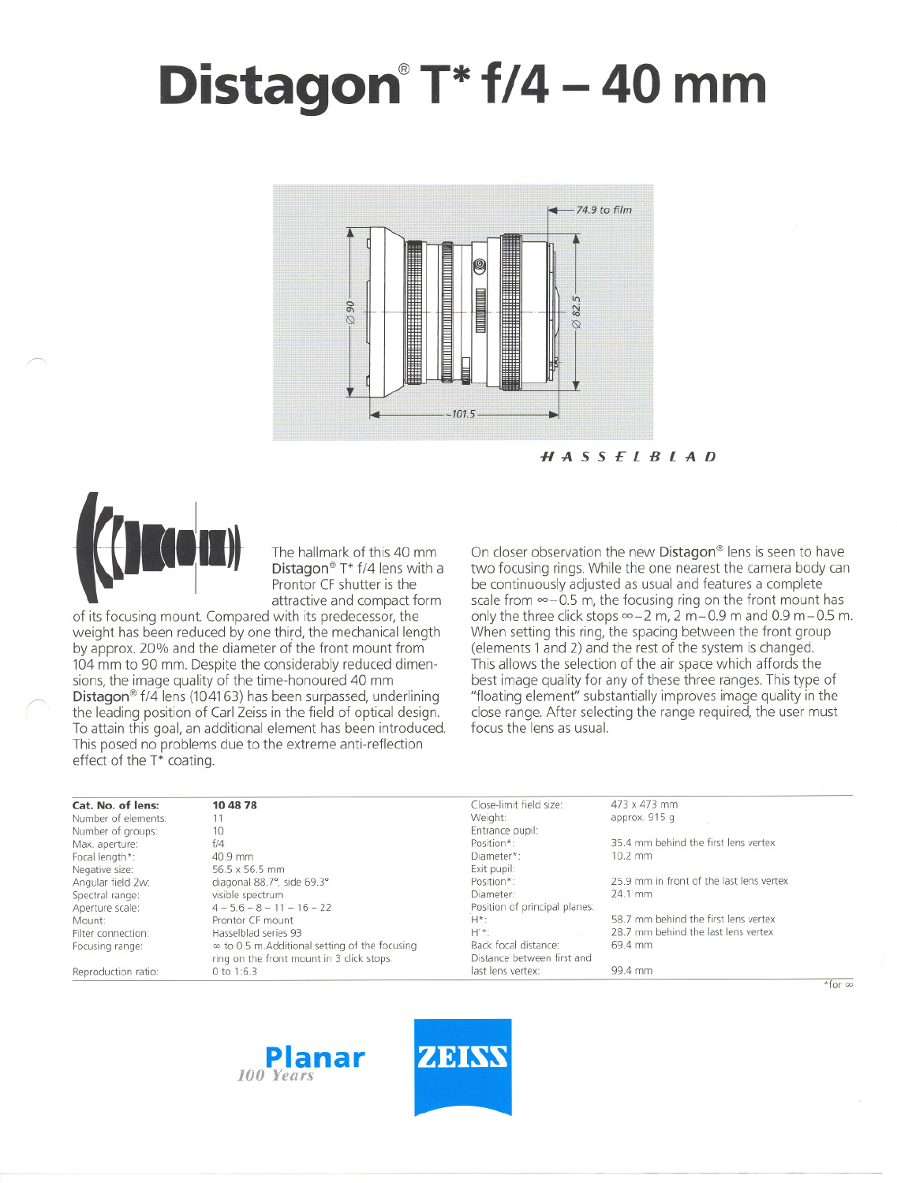# **Distagon@T\* 1/4 - 40 mm**



HASSElBlAD



/'

The hallmark of this 40 mm Distagon® T\*  $f/4$  lens with a Prontor CF shutter is the attractive and compact form

of its focusing mount. Compared with its predecessor, the weight has been reduced by one third, the mechanical length by approx. 20% and the diameter of the front mount from 104 mm to 90 mm. Despite the considerably reduced dimensions, the image quality of the time-honoured 40 mm Distagon<sup>®</sup> f/4 lens (104163) has been surpassed, underlining the leading position of Carl Zeiss in the field of optical design. To attain this goal, an additional element has been introduced. This posed no problems due to the extreme anti-reflection effect of the T\* coating.

On closer observation the new Distagon<sup>®</sup> lens is seen to have two focusing rings. While the one nearest the camera body can be continuously adjusted as usual and features a complete scale from  $\infty$  - 0.5 m, the focusing ring on the front mount has only the three click stops  $\infty - 2$  m, 2 m-0.9 m and 0.9 m-0.5 m. When setting this ring, the spacing between the front group (elements 1and 2) and the rest of the system is changed, This allows the selection of the air space which affords the best image quality tor any of these three ranges.This type of "floating element" substantially improves image quality in the close range. After selecting the range required, the user must focus the jens as usual.

| Cat. No. of lens:   | 10 48 78                                              | Close-limit field size:       | 473 x 473 mm                             |
|---------------------|-------------------------------------------------------|-------------------------------|------------------------------------------|
| Number of elements: |                                                       | Weight:                       | approx. 915 g                            |
| Number of groups:   | 10 <sup>°</sup>                                       | Entrance pupil:               |                                          |
| Max. aperture:      | f/4                                                   | Position*:                    | 35.4 mm behind the first lens vertex     |
| Focal length*:      | 40.9 mm                                               | Diameter*:                    | $10.2$ mm                                |
| Negative size:      | 56.5 x 56.5 mm                                        | Exit pupil:                   |                                          |
| Angular field 2w:   | diagonal 88.7°, side 69.3°                            | Position*:                    | 25.9 mm in front of the last lens vertex |
| Spectral range:     | visible spectrum                                      | Diameter:                     | 24.1 mm                                  |
| Aperture scale:     | $4 - 5.6 - 8 - 11 - 16 - 22$                          | Position of principal planes: |                                          |
| Mount:              | Prontor CF mount                                      | $H^*$ :                       | 58.7 mm behind the first lens vertex     |
| Filter connection:  | Hasselblad series 93                                  | $H^{\prime *}$ :              | 28.7 mm behind the last lens vertex      |
| Focusing range:     | $\infty$ to 0.5 m. Additional setting of the focusing | Back focal distance:          | 69.4 mm                                  |
|                     | ring on the front mount in 3 click stops.             | Distance between first and    |                                          |
| Reproduction ratio: | 0 to $1:6.3$                                          | last lens vertex:             | 99.4 mm                                  |





 $*$ for  $\infty$